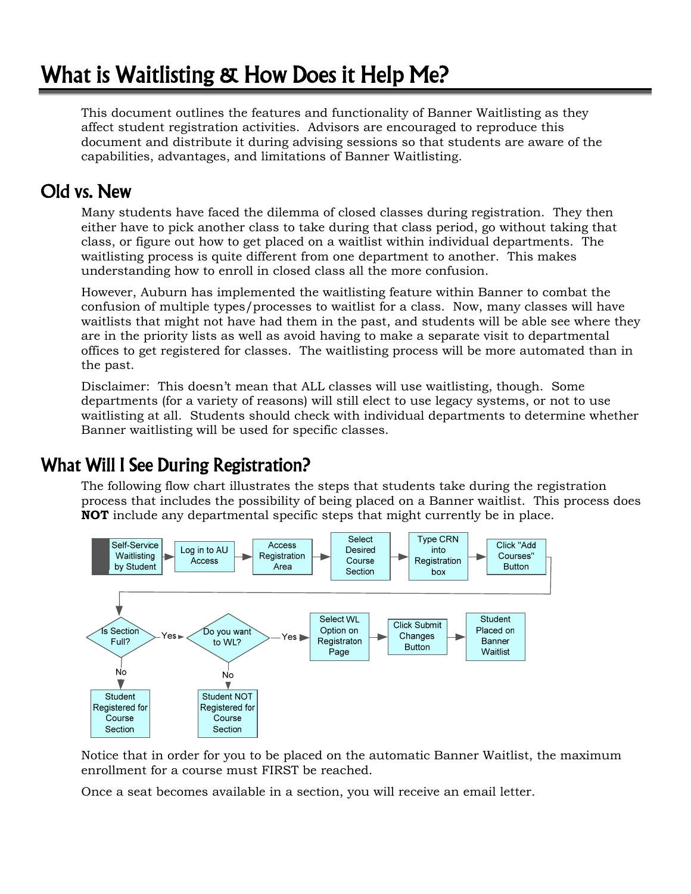# What is Waitlisting & How Does it Help Me?

This document outlines the features and functionality of Banner Waitlisting as they affect student registration activities. Advisors are encouraged to reproduce this document and distribute it during advising sessions so that students are aware of the capabilities, advantages, and limitations of Banner Waitlisting.

### Old vs. New

Many students have faced the dilemma of closed classes during registration. They then either have to pick another class to take during that class period, go without taking that class, or figure out how to get placed on a waitlist within individual departments. The waitlisting process is quite different from one department to another. This makes understanding how to enroll in closed class all the more confusion.

However, Auburn has implemented the waitlisting feature within Banner to combat the confusion of multiple types/processes to waitlist for a class. Now, many classes will have waitlists that might not have had them in the past, and students will be able see where they are in the priority lists as well as avoid having to make a separate visit to departmental offices to get registered for classes. The waitlisting process will be more automated than in the past.

Disclaimer: This doesn't mean that ALL classes will use waitlisting, though. Some departments (for a variety of reasons) will still elect to use legacy systems, or not to use waitlisting at all. Students should check with individual departments to determine whether Banner waitlisting will be used for specific classes.

# What Will I See During Registration?

The following flow chart illustrates the steps that students take during the registration process that includes the possibility of being placed on a Banner waitlist. This process does **NOT** include any departmental specific steps that might currently be in place.



Notice that in order for you to be placed on the automatic Banner Waitlist, the maximum enrollment for a course must FIRST be reached.

Once a seat becomes available in a section, you will receive an email letter.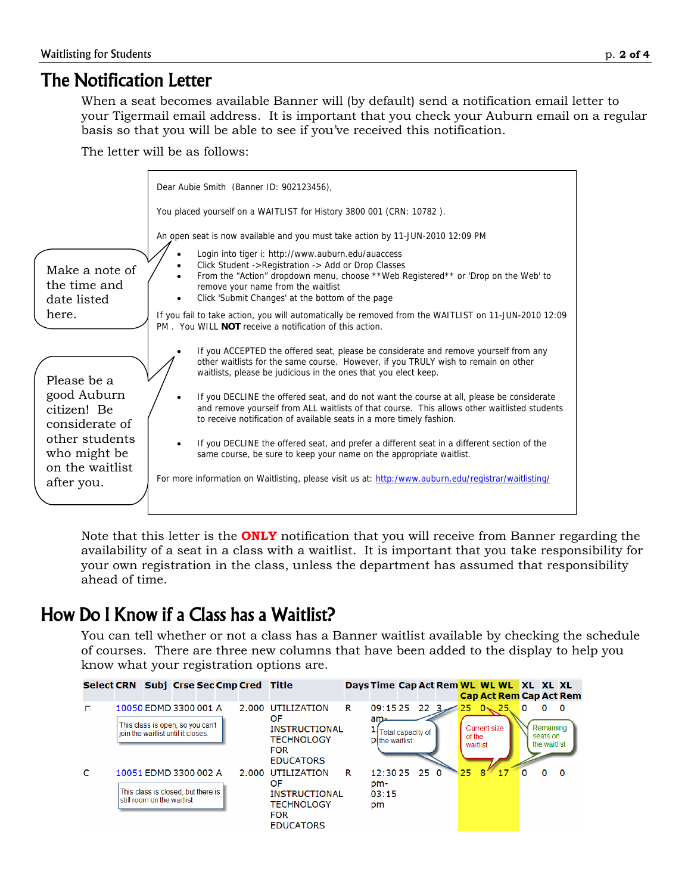### The Notification Letter

When a seat becomes available Banner will (by default) send a notification email letter to your Tigermail email address. It is important that you check your Auburn email on a regular basis so that you will be able to see if you've received this notification.

The letter will be as follows:



Note that this letter is the **ONLY** notification that you will receive from Banner regarding the availability of a seat in a class with a waitlist. It is important that you take responsibility for your own registration in the class, unless the department has assumed that responsibility ahead of time.

# How Do I Know if a Class has a Waitlist?

You can tell whether or not a class has a Banner waitlist available by checking the schedule of courses. There are three new columns that have been added to the display to help you know what your registration options are.

| Select CRN Subj Crse Sec Cmp Cred Title |                                                                                                 |  |  |                                                                                                         |   | Days Time Cap Act Rem WL WL WL XL XL XL   |                   |         |                    |                                     |    |          |                                            | <b>Cap Act Rem Cap Act Rem</b> |
|-----------------------------------------|-------------------------------------------------------------------------------------------------|--|--|---------------------------------------------------------------------------------------------------------|---|-------------------------------------------|-------------------|---------|--------------------|-------------------------------------|----|----------|--------------------------------------------|--------------------------------|
| п                                       | 10050 EDMD 3300 001 A<br>This class is open, so you can't<br>join the waitlist until it closes. |  |  | 2.000 UTILIZATION<br>OF.<br><b>INSTRUCTIONAL</b><br><b>TECHNOLOGY</b><br><b>FOR</b><br><b>EDUCATORS</b> | R | 09:15 25<br>am-<br><b>PIthe waitlist.</b> | Total capacity of | $223 =$ | of the<br>waitlist | $25 \t 0 \times 25$<br>Current size |    | $\Omega$ | n<br>Remaining<br>seats on<br>the waitlist | - 0                            |
| C                                       | 10051 EDMD 3300 002 A<br>This class is closed, but there is<br>still room on the waitlist       |  |  | 2.000 UTILIZATION<br>OF<br><b>INSTRUCTIONAL</b><br><b>TECHNOLOGY</b><br><b>FOR</b><br><b>EDUCATORS</b>  | R | $12:3025$ 25 0<br>pm-<br>03:15<br>pm      |                   |         | 25                 | 8                                   | 17 |          |                                            | 0                              |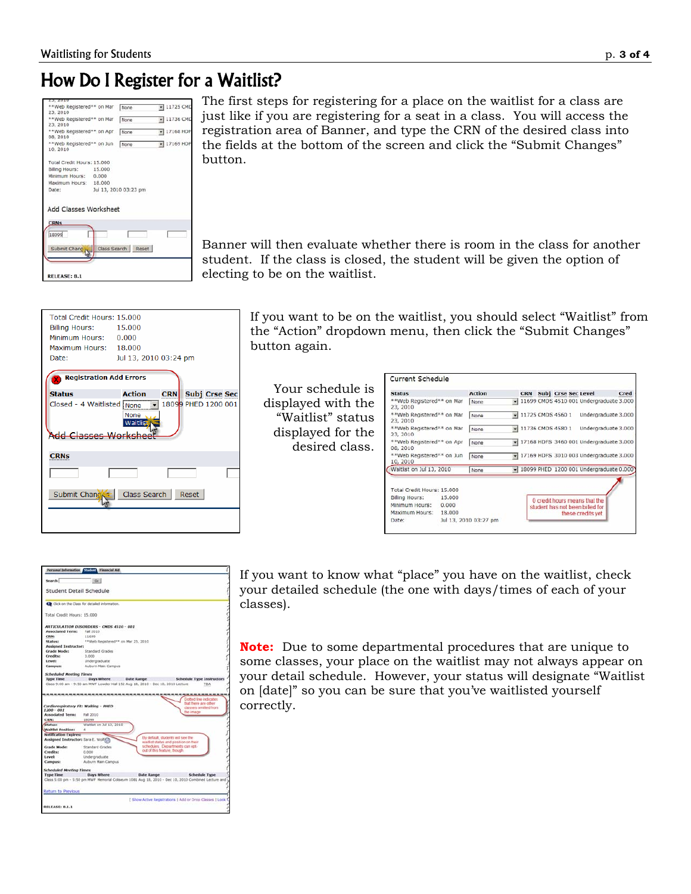# How Do I Register for a Waitlist?

|                                        | **Web Registered** on Mar | None                  | $\blacktriangleright$ 11725 CMD |
|----------------------------------------|---------------------------|-----------------------|---------------------------------|
| 23, 2010                               |                           |                       |                                 |
| ** Web Registered** on Mar<br>23, 2010 |                           | None                  | $-11736$ CMD                    |
| **Web Registered** on Apr              |                           |                       | $\overline{+}$ 17168 HDF        |
| 08, 2010                               |                           | None                  |                                 |
| **Web Registered** on Jun<br>10, 2010  |                           | None                  | $-17169$ HDF                    |
| Total Credit Hours: 15,000             |                           |                       |                                 |
| Billing Hours: 15,000                  |                           |                       |                                 |
| Minimum Hours: 0.000                   |                           |                       |                                 |
| Maximum Hours: 18,000                  |                           |                       |                                 |
| Date:                                  |                           | Jul 13, 2010 03:23 pm |                                 |
| Add Classes Worksheet<br><b>CRNs</b>   |                           |                       |                                 |
|                                        |                           |                       |                                 |
| 18099                                  |                           |                       |                                 |
| Submit Chang                           |                           | Class Search Reset    |                                 |
|                                        |                           |                       |                                 |
|                                        |                           |                       |                                 |

The first steps for registering for a place on the waitlist for a class are just like if you are registering for a seat in a class. You will access the registration area of Banner, and type the CRN of the desired class into the fields at the bottom of the screen and click the "Submit Changes" button.

Banner will then evaluate whether there is room in the class for another student. If the class is closed, the student will be given the option of electing to be on the waitlist.

| Total Credit Hours: 15,000<br><b>Billing Hours:</b><br>Minimum Hours: 0.000<br>Maximum Hours: 18.000<br>Date: | 15,000<br>Jul 13, 2010 03:24 pm                     |  |  |  |  |  |  |  |
|---------------------------------------------------------------------------------------------------------------|-----------------------------------------------------|--|--|--|--|--|--|--|
| <b>Registration Add Errors</b>                                                                                |                                                     |  |  |  |  |  |  |  |
| <b>Status</b>                                                                                                 | <b>Action</b><br><b>CRN</b><br><b>Subj Crse Sec</b> |  |  |  |  |  |  |  |
| Closed - 4 Waitlisted<br>18099 PHED 1200 001<br>l None<br>None<br>Vaitlis<br>Add Classes Werl                 |                                                     |  |  |  |  |  |  |  |
| <b>CRNs</b>                                                                                                   |                                                     |  |  |  |  |  |  |  |
|                                                                                                               |                                                     |  |  |  |  |  |  |  |
| Submit Chang                                                                                                  | Class Search<br>Reset                               |  |  |  |  |  |  |  |
|                                                                                                               |                                                     |  |  |  |  |  |  |  |

If you want to be on the waitlist, you should select "Waitlist" from the "Action" dropdown menu, then click the "Submit Changes" button again.

Your schedule is displayed with the "Waitlist" status displayed for the desired class.

| 11699 CMDS 4510 001 Undergraduate 3.000   |  |
|-------------------------------------------|--|
|                                           |  |
| Undergraduate 3.000                       |  |
| Undergraduate 3.000                       |  |
| v 17168 HDFS 3460 001 Undergraduate 3.000 |  |
| 17169 HDFS 3010 003 Undergraduate 3.000   |  |
| - 18099 PHED 1200 001 Undergraduate 0.000 |  |
|                                           |  |

| Search                                                                                                                   | 60                                                                                                |                              |                                                                                                     |  |
|--------------------------------------------------------------------------------------------------------------------------|---------------------------------------------------------------------------------------------------|------------------------------|-----------------------------------------------------------------------------------------------------|--|
| Student Detail Schedule                                                                                                  |                                                                                                   |                              |                                                                                                     |  |
|                                                                                                                          | Chck on the Class for detailed information.                                                       |                              |                                                                                                     |  |
| Total Credit Hours: 15,000                                                                                               |                                                                                                   |                              |                                                                                                     |  |
|                                                                                                                          | ARTICULATION DISORDERS - CMDS 4510 - 001                                                          |                              |                                                                                                     |  |
| <b>Associated Term:</b>                                                                                                  | Fall 2010                                                                                         |                              |                                                                                                     |  |
| <b>CRN:</b>                                                                                                              | 11699                                                                                             |                              |                                                                                                     |  |
| <b>Status:</b>                                                                                                           | **Web Registered** on Mar 23, 2010.                                                               |                              |                                                                                                     |  |
| <b>Assigned Instructor:</b>                                                                                              |                                                                                                   |                              |                                                                                                     |  |
| Grade Mode:                                                                                                              | Standard Grades                                                                                   |                              |                                                                                                     |  |
| <b>Credits:</b>                                                                                                          | 3.000                                                                                             |                              |                                                                                                     |  |
| Level:                                                                                                                   | Undergraduate                                                                                     |                              |                                                                                                     |  |
| Campus:                                                                                                                  | Auburn Main Campus                                                                                |                              |                                                                                                     |  |
|                                                                                                                          |                                                                                                   |                              |                                                                                                     |  |
|                                                                                                                          |                                                                                                   |                              |                                                                                                     |  |
| <b>Scheduled Meeting Times</b><br><b>Type Time</b>                                                                       | Days Where<br>Class 9:00 am - 9:50 am MWF Lowder Hall 152 Aug 18, 2010 - Dec 10, 2010 Lecture<br> | Date Range                   | <b>Schedule Type Instructors</b><br><b>TBA</b>                                                      |  |
|                                                                                                                          | Cardiorespiratory Fit: Walking - PHED                                                             |                              | Dotted line indicates<br>that there are other<br>classes omitted from                               |  |
|                                                                                                                          |                                                                                                   |                              | the image                                                                                           |  |
|                                                                                                                          | Fall 2010                                                                                         |                              |                                                                                                     |  |
|                                                                                                                          | 18099                                                                                             |                              |                                                                                                     |  |
| Status:                                                                                                                  | Wattlst on Jul 13, 2010                                                                           |                              |                                                                                                     |  |
| $1200 - 001$<br><b>Associated Term:</b><br>CRN:<br><b>Waitlist Position:</b>                                             | ×                                                                                                 |                              |                                                                                                     |  |
|                                                                                                                          |                                                                                                   |                              | By default, students will see the                                                                   |  |
|                                                                                                                          |                                                                                                   |                              | wartlist status and position on their<br>schedules. Departments can ont-                            |  |
|                                                                                                                          | Standard Grades                                                                                   | out of this feature. though. |                                                                                                     |  |
|                                                                                                                          | 0.000                                                                                             |                              |                                                                                                     |  |
| <b>Notification Expires:</b><br>Assigned Instructor: Sara E. Wolf<br>Grade Mode:<br>Credits:<br>Level:<br><b>Campus:</b> | Undergraduate<br>Auburn Main Campus                                                               |                              |                                                                                                     |  |
|                                                                                                                          |                                                                                                   |                              |                                                                                                     |  |
| <b>Scheduled Meeting Times</b>                                                                                           |                                                                                                   |                              |                                                                                                     |  |
| <b>Type Time</b>                                                                                                         | Days Where                                                                                        | <b>Date Range</b>            | <b>Schedule Type</b>                                                                                |  |
|                                                                                                                          |                                                                                                   |                              | Class 5:00 pm - 5:50 pm MWF Memorial Collseum 1081 Aug 18, 2010 - Dec 10, 2010 Combined Lecture and |  |

If you want to know what "place" you have on the waitlist, check your detailed schedule (the one with days/times of each of your classes).

**Note:** Due to some departmental procedures that are unique to some classes, your place on the waitlist may not always appear on your detail schedule. However, your status will designate "Waitlist on [date]" so you can be sure that you've waitlisted yourself correctly.